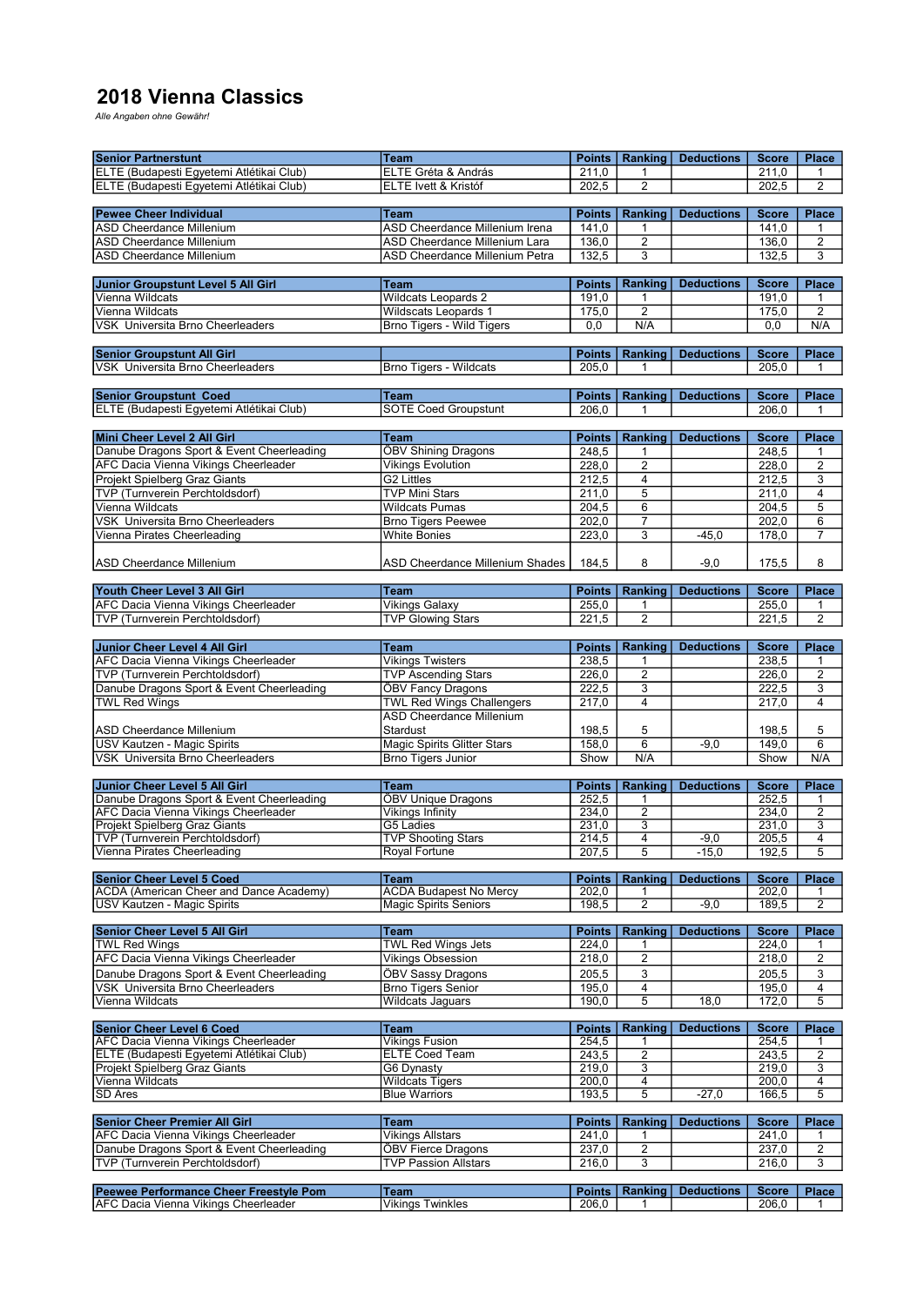## 2018 Vienna Classics

Alle Angaben ohne Gewähr!

| <b>Senior Partnerstunt</b>                                                            | <b>Team</b>                      | <b>Points</b>          | Ranking                 | <b>Deductions</b> | <b>Score</b>          | Place          |  |  |  |
|---------------------------------------------------------------------------------------|----------------------------------|------------------------|-------------------------|-------------------|-----------------------|----------------|--|--|--|
| ELTE (Budapesti Egyetemi Atlétikai Club)                                              | ELTE Gréta & András              | 211,0                  | 1                       |                   | 211.0                 | 1              |  |  |  |
| ELTE (Budapesti Egyetemi Atlétikai Club)                                              | ELTE Ivett & Kristóf             | 202,5                  | $\overline{2}$          |                   | 202,5                 | $\overline{2}$ |  |  |  |
|                                                                                       |                                  |                        |                         |                   |                       |                |  |  |  |
| <b>Pewee Cheer Individual</b>                                                         | Team                             | <b>Points</b>          | Ranking                 | <b>Deductions</b> | <b>Score</b>          | <b>Place</b>   |  |  |  |
| <b>ASD Cheerdance Millenium</b>                                                       | ASD Cheerdance Millenium Irena   | 141,0                  | 1                       |                   | 141.0                 | 1              |  |  |  |
| <b>ASD Cheerdance Millenium</b>                                                       | ASD Cheerdance Millenium Lara    | 136,0                  | $\overline{2}$          |                   | 136,0                 | $\overline{2}$ |  |  |  |
|                                                                                       |                                  |                        |                         |                   |                       |                |  |  |  |
| ASD Cheerdance Millenium                                                              | ASD Cheerdance Millenium Petra   | 132,5                  | $\overline{3}$          |                   | 132,5                 | 3              |  |  |  |
|                                                                                       |                                  |                        |                         |                   |                       |                |  |  |  |
| Junior Groupstunt Level 5 All Girl                                                    | <b>Team</b>                      | <b>Points</b>          | Ranking                 | <b>Deductions</b> | <b>Score</b>          | Place          |  |  |  |
| Vienna Wildcats                                                                       | <b>Wildcats Leopards 2</b>       | 191,0                  | 1                       |                   | 191,0                 | 1              |  |  |  |
| Vienna Wildcats                                                                       | <b>Wildscats Leopards 1</b>      | 175,0                  | $\overline{2}$          |                   | 175,0                 | $\overline{2}$ |  |  |  |
| VSK Universita Brno Cheerleaders                                                      | <b>Brno Tigers - Wild Tigers</b> | 0,0                    | N/A                     |                   | 0, 0                  | N/A            |  |  |  |
|                                                                                       |                                  |                        |                         |                   |                       |                |  |  |  |
|                                                                                       |                                  |                        |                         |                   |                       |                |  |  |  |
| <b>Senior Groupstunt All Girl</b>                                                     |                                  | <b>Points</b>          | Ranking                 | <b>Deductions</b> | <b>Score</b>          | <b>Place</b>   |  |  |  |
| VSK Universita Brno Cheerleaders                                                      | <b>Brno Tigers - Wildcats</b>    | $\overline{205,0}$     | 1                       |                   | 205,0                 | 1              |  |  |  |
|                                                                                       |                                  |                        |                         |                   |                       |                |  |  |  |
| <b>Senior Groupstunt Coed</b>                                                         | <b>Team</b>                      | <b>Points</b>          | Ranking                 | <b>Deductions</b> | <b>Score</b>          | <b>Place</b>   |  |  |  |
| ELTE (Budapesti Egyetemi Atlétikai Club)                                              | <b>SOTE Coed Groupstunt</b>      | 206,0                  | 1                       |                   | 206,0                 | 1              |  |  |  |
|                                                                                       |                                  |                        |                         |                   |                       |                |  |  |  |
| Mini Cheer Level 2 All Girl                                                           | <b>Team</b>                      | <b>Points</b>          | Ranking                 | <b>Deductions</b> | <b>Score</b>          | <b>Place</b>   |  |  |  |
| Danube Dragons Sport & Event Cheerleading                                             | <b>ÖBV Shining Dragons</b>       | 248,5                  | 1                       |                   | 248,5                 | 1              |  |  |  |
|                                                                                       |                                  |                        |                         |                   |                       |                |  |  |  |
| AFC Dacia Vienna Vikings Cheerleader                                                  | <b>Vikings Evolution</b>         | 228,0                  | $\overline{2}$          |                   | 228,0                 | $\overline{2}$ |  |  |  |
| Projekt Spielberg Graz Giants                                                         | <b>G2 Littles</b>                | 212,5                  | $\overline{4}$          |                   | 212,5                 | $\overline{3}$ |  |  |  |
| TVP (Turnverein Perchtoldsdorf)                                                       | <b>TVP Mini Stars</b>            | 211,0                  | $\overline{5}$          |                   | 211,0                 | 4              |  |  |  |
| Vienna Wildcats                                                                       | <b>Wildcats Pumas</b>            | 204,5                  | $\overline{6}$          |                   | 204,5                 | 5              |  |  |  |
| VSK Universita Brno Cheerleaders                                                      | <b>Brno Tigers Peewee</b>        | 202,0                  | $\overline{7}$          |                   | 202,0                 | 6              |  |  |  |
| Vienna Pirates Cheerleading                                                           | <b>White Bonies</b>              | 223,0                  | 3                       | $-45,0$           | 178,0                 | 7              |  |  |  |
|                                                                                       |                                  |                        |                         |                   |                       |                |  |  |  |
| <b>ASD Cheerdance Millenium</b>                                                       |                                  | 184,5                  | 8                       | $-9,0$            |                       | 8              |  |  |  |
|                                                                                       | ASD Cheerdance Millenium Shades  |                        |                         |                   | 175,5                 |                |  |  |  |
|                                                                                       |                                  |                        |                         |                   |                       |                |  |  |  |
| Youth Cheer Level 3 All Girl                                                          | <b>Team</b>                      | Points                 | Ranking                 | <b>Deductions</b> | <b>Score</b>          | Place          |  |  |  |
| AFC Dacia Vienna Vikings Cheerleader                                                  | <b>Vikings Galaxy</b>            | 255,0                  | 1                       |                   | 255,0                 | 1              |  |  |  |
| TVP (Turnverein Perchtoldsdorf)                                                       | <b>TVP Glowing Stars</b>         | 221,5                  | $\overline{2}$          |                   | 221,5                 | $\overline{2}$ |  |  |  |
|                                                                                       |                                  |                        |                         |                   |                       |                |  |  |  |
| Junior Cheer Level 4 All Girl                                                         | <b>Team</b>                      | <b>Points</b>          | Ranking                 | <b>Deductions</b> | <b>Score</b>          | <b>Place</b>   |  |  |  |
| AFC Dacia Vienna Vikings Cheerleader                                                  | <b>Vikings Twisters</b>          | 238,5                  | 1                       |                   | 238,5                 | 1              |  |  |  |
|                                                                                       |                                  |                        |                         |                   |                       |                |  |  |  |
| TVP (Turnverein Perchtoldsdorf)                                                       | <b>TVP Ascending Stars</b>       | 226,0                  | $\overline{2}$          |                   | 226,0                 | 2              |  |  |  |
| Danube Dragons Sport & Event Cheerleading                                             | <b>ÖBV Fancy Dragons</b>         | 222,5                  | 3                       |                   | 222,5                 | 3              |  |  |  |
| <b>TWL Red Wings</b>                                                                  | <b>TWL Red Wings Challengers</b> | 217,0                  | 4                       |                   | 217,0                 | $\overline{4}$ |  |  |  |
|                                                                                       | <b>ASD Cheerdance Millenium</b>  |                        |                         |                   |                       |                |  |  |  |
| ASD Cheerdance Millenium                                                              | <b>Stardust</b>                  | 198,5                  | 5                       |                   | 198,5                 | 5              |  |  |  |
| USV Kautzen - Magic Spirits                                                           | Magic Spirits Glitter Stars      | 158,0                  | 6                       | $-9,0$            | 149,0                 | 6              |  |  |  |
| VSK Universita Brno Cheerleaders                                                      | <b>Brno Tigers Junior</b>        | Show                   | N/A                     |                   | Show                  | N/A            |  |  |  |
|                                                                                       |                                  |                        |                         |                   |                       |                |  |  |  |
|                                                                                       |                                  |                        |                         |                   |                       |                |  |  |  |
| Junior Cheer Level 5 All Girl                                                         | <b>Team</b>                      | <b>Points</b>          | Ranking                 | <b>Deductions</b> | <b>Score</b>          | Place          |  |  |  |
| Danube Dragons Sport & Event Cheerleading                                             | ÖBV Unique Dragons               | 252,5                  | 1                       |                   | 252.5                 | 1              |  |  |  |
| <b>AFC Dacia Vienna Vikings Cheerleader</b>                                           | <b>Vikings Infinity</b>          | 234,0                  | $\overline{2}$          |                   | 234,0                 | $\overline{2}$ |  |  |  |
| Projekt Spielberg Graz Giants                                                         | G5 Ladies                        | 231,0                  | 3                       |                   | 231,0                 | $\overline{3}$ |  |  |  |
| <b>TVP (Turnverein Perchtoldsdorf)</b>                                                | <b>TVP Shooting Stars</b>        | 214.5                  | $\overline{4}$          | $-9.0$            | 205.5                 | $\overline{4}$ |  |  |  |
| Vienna Pirates Cheerleading                                                           | <b>Royal Fortune</b>             | 207,5                  | 5                       | $-15,0$           | 192,5                 | $\overline{5}$ |  |  |  |
|                                                                                       |                                  |                        |                         |                   |                       |                |  |  |  |
| <b>Senior Cheer Level 5 Coed</b>                                                      | Team                             | <b>Points</b>          | Ranking                 | <b>Deductions</b> | <b>Score</b>          | Place          |  |  |  |
| ACDA (American Cheer and Dance Academy)                                               | <b>ACDA Budapest No Mercy</b>    | 202,0                  | 1                       |                   | 202,0                 | 1              |  |  |  |
| USV Kautzen - Magic Spirits                                                           | <b>Magic Spirits Seniors</b>     | 198,5                  | $\overline{2}$          | $-9,0$            | 189,5                 | $\overline{2}$ |  |  |  |
|                                                                                       |                                  |                        |                         |                   |                       |                |  |  |  |
| <b>Senior Cheer Level 5 All Girl</b>                                                  | <b>Team</b>                      | <b>Points</b>          | Ranking                 | <b>Deductions</b> | <b>Score</b>          | <b>Place</b>   |  |  |  |
| <b>TWL Red Wings</b>                                                                  | <b>TWL Red Wings Jets</b>        | 224,0                  | -1                      |                   | 224,0                 | 1              |  |  |  |
| AFC Dacia Vienna Vikings Cheerleader                                                  | <b>Vikings Obsession</b>         | 218,0                  | $\overline{\mathbf{c}}$ |                   | 218,0                 | $\overline{2}$ |  |  |  |
|                                                                                       |                                  |                        |                         |                   |                       |                |  |  |  |
| Danube Dragons Sport & Event Cheerleading                                             | ÖBV Sassy Dragons                | 205,5                  | 3                       |                   | 205,5                 | 3              |  |  |  |
| <b>VSK Universita Brno Cheerleaders</b>                                               | <b>Brno Tigers Senior</b>        | 195,0                  | $\overline{\mathbf{4}}$ |                   | 195,0                 | $\overline{4}$ |  |  |  |
| Vienna Wildcats                                                                       | <b>Wildcats Jaguars</b>          | 190,0                  | 5                       | 18,0              | 172,0                 | 5              |  |  |  |
|                                                                                       |                                  |                        |                         |                   |                       |                |  |  |  |
| <b>Senior Cheer Level 6 Coed</b>                                                      | Team                             | <b>Points</b>          | Ranking                 | <b>Deductions</b> | <b>Score</b>          | <b>Place</b>   |  |  |  |
| <b>AFC Dacia Vienna Vikings Cheerleader</b>                                           | <b>Vikings Fusion</b>            | 254,5                  | 1                       |                   | 254,5                 | 1              |  |  |  |
| ELTE (Budapesti Egyetemi Atlétikai Club)                                              | <b>ELTE Coed Team</b>            | 243,5                  | $\overline{2}$          |                   | 243,5                 | 2              |  |  |  |
| Projekt Spielberg Graz Giants                                                         | G6 Dynasty                       | 219,0                  | 3                       |                   | 219,0                 | 3              |  |  |  |
| Vienna Wildcats                                                                       | <b>Wildcats Tigers</b>           | 200,0                  | $\overline{4}$          |                   | 200,0                 | $\overline{4}$ |  |  |  |
| SD Ares                                                                               | <b>Blue Warriors</b>             | 193,5                  | 5                       | $-27,0$           | 166,5                 | 5              |  |  |  |
|                                                                                       |                                  |                        |                         |                   |                       |                |  |  |  |
| <b>Senior Cheer Premier All Girl</b>                                                  | Team                             | <b>Points</b>          | Ranking                 | <b>Deductions</b> | <b>Score</b>          |                |  |  |  |
|                                                                                       |                                  |                        |                         |                   |                       | <b>Place</b>   |  |  |  |
| AFC Dacia Vienna Vikings Cheerleader                                                  | <b>Vikings Allstars</b>          | $\overline{241,0}$     | 1                       |                   | 241,0                 | 1              |  |  |  |
| Danube Dragons Sport & Event Cheerleading                                             | ÖBV Fierce Dragons               | 237,0                  | $\overline{2}$          |                   | 237,0                 | $\overline{2}$ |  |  |  |
| TVP (Turnverein Perchtoldsdorf)                                                       |                                  |                        |                         |                   |                       | 3              |  |  |  |
|                                                                                       |                                  |                        |                         |                   |                       |                |  |  |  |
|                                                                                       | <b>TVP Passion Allstars</b>      | 216,0                  | 3                       |                   | 216,0                 |                |  |  |  |
| Peewee Performance Cheer Freestyle Pom<br><b>AFC Dacia Vienna Vikings Cheerleader</b> | Team<br><b>Vikings Twinkles</b>  | <b>Points</b><br>206,0 | Ranking                 | <b>Deductions</b> | <b>Score</b><br>206,0 | <b>Place</b>   |  |  |  |